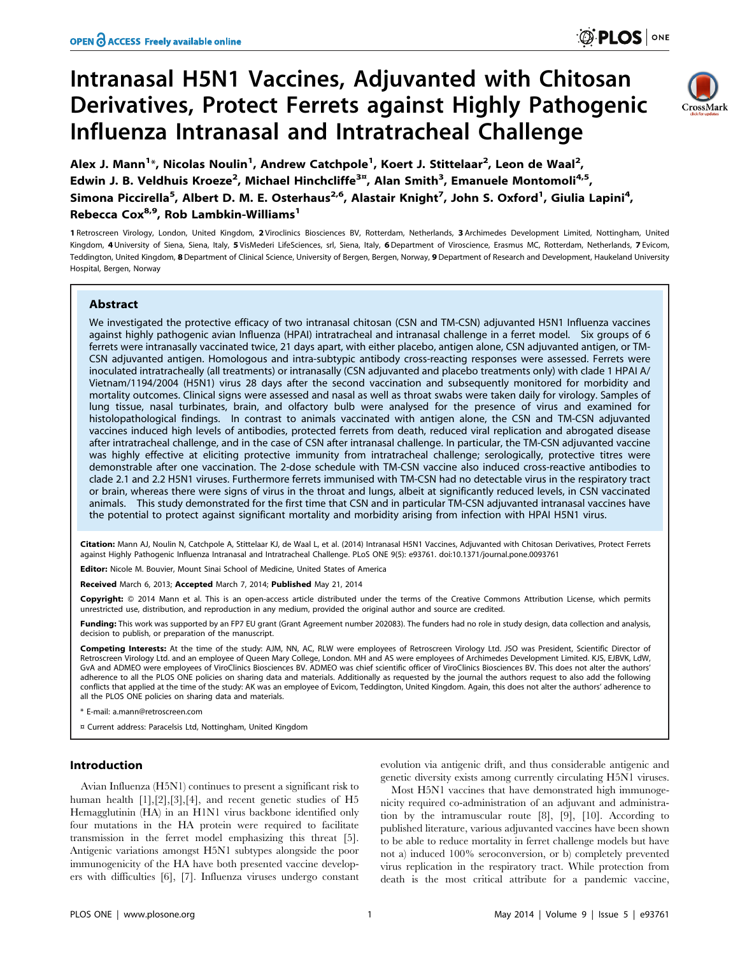# Intranasal H5N1 Vaccines, Adjuvanted with Chitosan Derivatives, Protect Ferrets against Highly Pathogenic Influenza Intranasal and Intratracheal Challenge



Alex J. Mann<sup>1</sup>\*, Nicolas Noulin<sup>1</sup>, Andrew Catchpole<sup>1</sup>, Koert J. Stittelaar<sup>2</sup>, Leon de Waal<sup>2</sup>, Edwin J. B. Veldhuis Kroeze<sup>2</sup>, Michael Hinchcliffe<sup>3¤</sup>, Alan Smith<sup>3</sup>, Emanuele Montomoli<sup>4,5</sup>, Simona Piccirella<sup>5</sup>, Albert D. M. E. Osterhaus<sup>2,6</sup>, Alastair Knight<sup>7</sup>, John S. Oxford<sup>1</sup>, Giulia Lapini<sup>4</sup>, Rebecca Co $x^{8,9}$ , Rob Lambkin-Williams<sup>1</sup>

1 Retroscreen Virology, London, United Kingdom, 2 Viroclinics Biosciences BV, Rotterdam, Netherlands, 3 Archimedes Development Limited, Nottingham, United Kingdom, 4 University of Siena, Siena, Italy, 5 VisMederi LifeSciences, srl, Siena, Italy, 6 Department of Viroscience, Erasmus MC, Rotterdam, Netherlands, 7 Evicom, Teddington, United Kingdom, 8 Department of Clinical Science, University of Bergen, Bergen, Norway, 9 Department of Research and Development, Haukeland University Hospital, Bergen, Norway

## Abstract

We investigated the protective efficacy of two intranasal chitosan (CSN and TM-CSN) adjuvanted H5N1 Influenza vaccines against highly pathogenic avian Influenza (HPAI) intratracheal and intranasal challenge in a ferret model. Six groups of 6 ferrets were intranasally vaccinated twice, 21 days apart, with either placebo, antigen alone, CSN adjuvanted antigen, or TM-CSN adjuvanted antigen. Homologous and intra-subtypic antibody cross-reacting responses were assessed. Ferrets were inoculated intratracheally (all treatments) or intranasally (CSN adjuvanted and placebo treatments only) with clade 1 HPAI A/ Vietnam/1194/2004 (H5N1) virus 28 days after the second vaccination and subsequently monitored for morbidity and mortality outcomes. Clinical signs were assessed and nasal as well as throat swabs were taken daily for virology. Samples of lung tissue, nasal turbinates, brain, and olfactory bulb were analysed for the presence of virus and examined for histolopathological findings. In contrast to animals vaccinated with antigen alone, the CSN and TM-CSN adjuvanted vaccines induced high levels of antibodies, protected ferrets from death, reduced viral replication and abrogated disease after intratracheal challenge, and in the case of CSN after intranasal challenge. In particular, the TM-CSN adjuvanted vaccine was highly effective at eliciting protective immunity from intratracheal challenge; serologically, protective titres were demonstrable after one vaccination. The 2-dose schedule with TM-CSN vaccine also induced cross-reactive antibodies to clade 2.1 and 2.2 H5N1 viruses. Furthermore ferrets immunised with TM-CSN had no detectable virus in the respiratory tract or brain, whereas there were signs of virus in the throat and lungs, albeit at significantly reduced levels, in CSN vaccinated animals. This study demonstrated for the first time that CSN and in particular TM-CSN adjuvanted intranasal vaccines have the potential to protect against significant mortality and morbidity arising from infection with HPAI H5N1 virus.

Citation: Mann AJ, Noulin N, Catchpole A, Stittelaar KJ, de Waal L, et al. (2014) Intranasal H5N1 Vaccines, Adjuvanted with Chitosan Derivatives, Protect Ferrets against Highly Pathogenic Influenza Intranasal and Intratracheal Challenge. PLoS ONE 9(5): e93761. doi:10.1371/journal.pone.0093761

Editor: Nicole M. Bouvier, Mount Sinai School of Medicine, United States of America

Received March 6, 2013; Accepted March 7, 2014; Published May 21, 2014

Copyright: © 2014 Mann et al. This is an open-access article distributed under the terms of the [Creative Commons Attribution License](http://creativecommons.org/licenses/by/4.0/), which permits unrestricted use, distribution, and reproduction in any medium, provided the original author and source are credited.

Funding: This work was supported by an FP7 EU grant (Grant Agreement number 202083). The funders had no role in study design, data collection and analysis, decision to publish, or preparation of the manuscript.

Competing Interests: At the time of the study: AJM, NN, AC, RLW were employees of Retroscreen Virology Ltd. JSO was President, Scientific Director of Retroscreen Virology Ltd. and an employee of Queen Mary College, London. MH and AS were employees of Archimedes Development Limited. KJS, EJBVK, LdW, GvA and ADMEO were employees of ViroClinics Biosciences BV. ADMEO was chief scientific officer of ViroClinics Biosciences BV. This does not alter the authors' adherence to all the PLOS ONE policies on sharing data and materials. Additionally as requested by the journal the authors request to also add the following conflicts that applied at the time of the study: AK was an employee of Evicom, Teddington, United Kingdom. Again, this does not alter the authors' adherence to all the PLOS ONE policies on sharing data and materials.

mail: a.mann@retroscreen.com-

¤ Current address: Paracelsis Ltd, Nottingham, United Kingdom

## Introduction

Avian Influenza (H5N1) continues to present a significant risk to human health [1],[2],[3],[4], and recent genetic studies of H5 Hemagglutinin (HA) in an H1N1 virus backbone identified only four mutations in the HA protein were required to facilitate transmission in the ferret model emphasizing this threat [5]. Antigenic variations amongst H5N1 subtypes alongside the poor immunogenicity of the HA have both presented vaccine developers with difficulties [6], [7]. Influenza viruses undergo constant

evolution via antigenic drift, and thus considerable antigenic and genetic diversity exists among currently circulating H5N1 viruses.

Most H5N1 vaccines that have demonstrated high immunogenicity required co-administration of an adjuvant and administration by the intramuscular route [8], [9], [10]. According to published literature, various adjuvanted vaccines have been shown to be able to reduce mortality in ferret challenge models but have not a) induced 100% seroconversion, or b) completely prevented virus replication in the respiratory tract. While protection from death is the most critical attribute for a pandemic vaccine,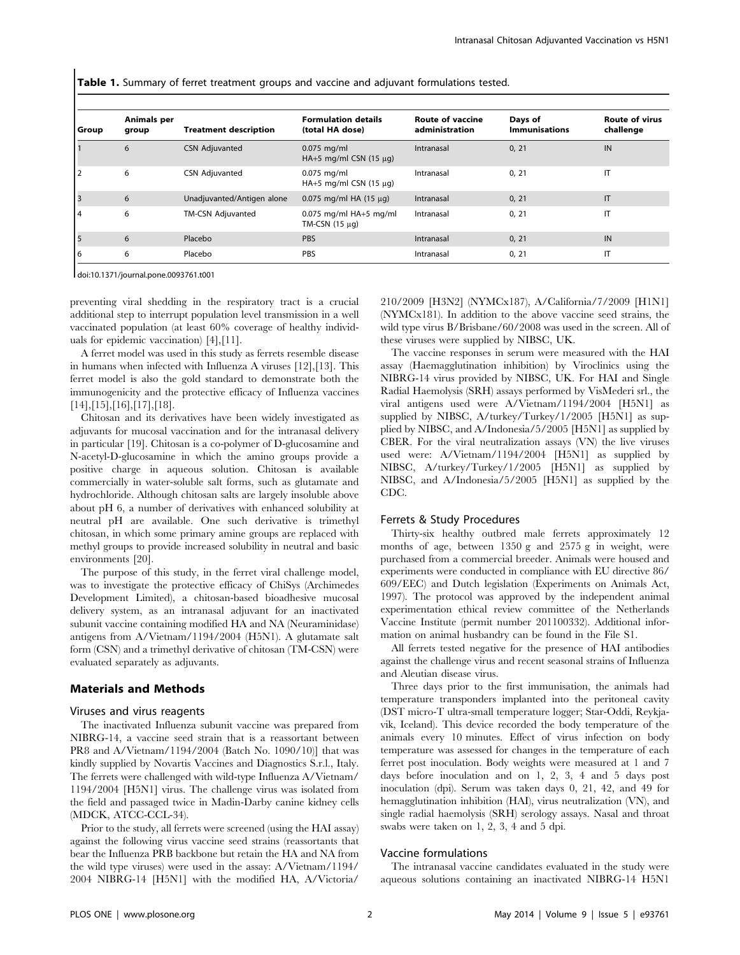Table 1. Summary of ferret treatment groups and vaccine and adjuvant formulations tested.

| Group          | Animals per<br>group | <b>Treatment description</b> | <b>Formulation details</b><br>(total HA dose)   | <b>Route of vaccine</b><br>administration | Days of<br><b>Immunisations</b> | <b>Route of virus</b><br>challenge |
|----------------|----------------------|------------------------------|-------------------------------------------------|-------------------------------------------|---------------------------------|------------------------------------|
|                | 6                    | <b>CSN Adjuvanted</b>        | $0.075$ mg/ml<br>HA+5 mg/ml CSN $(15 \mu g)$    | Intranasal                                | 0, 21                           | IN                                 |
| $\overline{2}$ | 6                    | <b>CSN Adjuvanted</b>        | $0.075$ mg/ml<br>HA+5 mg/ml CSN $(15 \mu q)$    | Intranasal                                | 0, 21                           | $\mathsf{I}$                       |
| l 3            | 6                    | Unadjuvanted/Antigen alone   | 0.075 mg/ml HA (15 $\mu$ g)                     | Intranasal                                | 0, 21                           | IT                                 |
| 4              | 6                    | TM-CSN Adjuvanted            | $0.075$ mg/ml HA+5 mg/ml<br>TM-CSN $(15 \mu q)$ | Intranasal                                | 0, 21                           | IT                                 |
| 15             | 6                    | Placebo                      | PBS                                             | Intranasal                                | 0, 21                           | IN                                 |
| 16             | 6                    | Placebo                      | PBS                                             | Intranasal                                | 0, 21                           | IT                                 |

doi:10.1371/journal.pone.0093761.t001

preventing viral shedding in the respiratory tract is a crucial additional step to interrupt population level transmission in a well vaccinated population (at least 60% coverage of healthy individuals for epidemic vaccination) [4],[11].

A ferret model was used in this study as ferrets resemble disease in humans when infected with Influenza A viruses [12],[13]. This ferret model is also the gold standard to demonstrate both the immunogenicity and the protective efficacy of Influenza vaccines [14],[15],[16],[17],[18].

Chitosan and its derivatives have been widely investigated as adjuvants for mucosal vaccination and for the intranasal delivery in particular [19]. Chitosan is a co-polymer of D-glucosamine and N-acetyl-D-glucosamine in which the amino groups provide a positive charge in aqueous solution. Chitosan is available commercially in water-soluble salt forms, such as glutamate and hydrochloride. Although chitosan salts are largely insoluble above about pH 6, a number of derivatives with enhanced solubility at neutral pH are available. One such derivative is trimethyl chitosan, in which some primary amine groups are replaced with methyl groups to provide increased solubility in neutral and basic environments [20].

The purpose of this study, in the ferret viral challenge model, was to investigate the protective efficacy of ChiSys (Archimedes Development Limited), a chitosan-based bioadhesive mucosal delivery system, as an intranasal adjuvant for an inactivated subunit vaccine containing modified HA and NA (Neuraminidase) antigens from A/Vietnam/1194/2004 (H5N1). A glutamate salt form (CSN) and a trimethyl derivative of chitosan (TM-CSN) were evaluated separately as adjuvants.

## Materials and Methods

#### Viruses and virus reagents

The inactivated Influenza subunit vaccine was prepared from NIBRG-14, a vaccine seed strain that is a reassortant between PR8 and A/Vietnam/1194/2004 (Batch No. 1090/10)] that was kindly supplied by Novartis Vaccines and Diagnostics S.r.l., Italy. The ferrets were challenged with wild-type Influenza A/Vietnam/ 1194/2004 [H5N1] virus. The challenge virus was isolated from the field and passaged twice in Madin-Darby canine kidney cells (MDCK, ATCC-CCL-34).

Prior to the study, all ferrets were screened (using the HAI assay) against the following virus vaccine seed strains (reassortants that bear the Influenza PRB backbone but retain the HA and NA from the wild type viruses) were used in the assay: A/Vietnam/1194/ 2004 NIBRG-14 [H5N1] with the modified HA, A/Victoria/

210/2009 [H3N2] (NYMCx187), A/California/7/2009 [H1N1] (NYMCx181). In addition to the above vaccine seed strains, the wild type virus B/Brisbane/60/2008 was used in the screen. All of these viruses were supplied by NIBSC, UK.

The vaccine responses in serum were measured with the HAI assay (Haemagglutination inhibition) by Viroclinics using the NIBRG-14 virus provided by NIBSC, UK. For HAI and Single Radial Haemolysis (SRH) assays performed by VisMederi srl., the viral antigens used were A/Vietnam/1194/2004 [H5N1] as supplied by NIBSC, A/turkey/Turkey/1/2005 [H5N1] as supplied by NIBSC, and A/Indonesia/5/2005 [H5N1] as supplied by CBER. For the viral neutralization assays (VN) the live viruses used were: A/Vietnam/1194/2004 [H5N1] as supplied by NIBSC, A/turkey/Turkey/1/2005 [H5N1] as supplied by NIBSC, and A/Indonesia/5/2005 [H5N1] as supplied by the CDC.

## Ferrets & Study Procedures

Thirty-six healthy outbred male ferrets approximately 12 months of age, between 1350 g and 2575 g in weight, were purchased from a commercial breeder. Animals were housed and experiments were conducted in compliance with EU directive 86/ 609/EEC) and Dutch legislation (Experiments on Animals Act, 1997). The protocol was approved by the independent animal experimentation ethical review committee of the Netherlands Vaccine Institute (permit number 201100332). Additional information on animal husbandry can be found in the File S1.

All ferrets tested negative for the presence of HAI antibodies against the challenge virus and recent seasonal strains of Influenza and Aleutian disease virus.

Three days prior to the first immunisation, the animals had temperature transponders implanted into the peritoneal cavity (DST micro-T ultra-small temperature logger; Star-Oddi, Reykjavik, Iceland). This device recorded the body temperature of the animals every 10 minutes. Effect of virus infection on body temperature was assessed for changes in the temperature of each ferret post inoculation. Body weights were measured at 1 and 7 days before inoculation and on 1, 2, 3, 4 and 5 days post inoculation (dpi). Serum was taken days 0, 21, 42, and 49 for hemagglutination inhibition (HAI), virus neutralization (VN), and single radial haemolysis (SRH) serology assays. Nasal and throat swabs were taken on 1, 2, 3, 4 and 5 dpi.

## Vaccine formulations

The intranasal vaccine candidates evaluated in the study were aqueous solutions containing an inactivated NIBRG-14 H5N1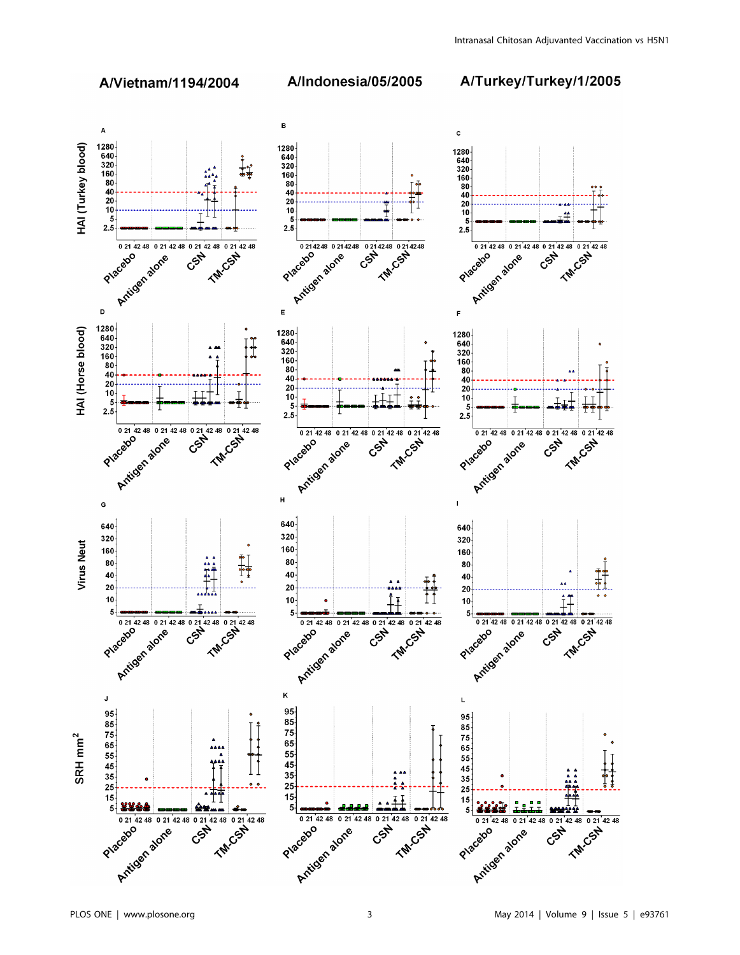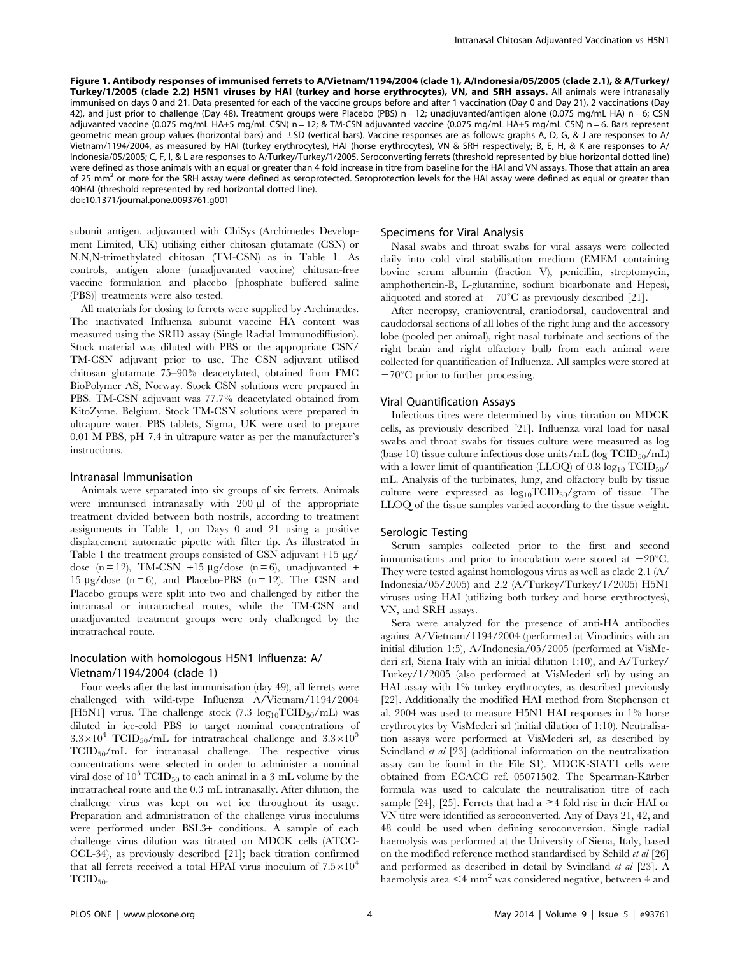Figure 1. Antibody responses of immunised ferrets to A/Vietnam/1194/2004 (clade 1), A/Indonesia/05/2005 (clade 2.1), & A/Turkey/ Turkey/1/2005 (clade 2.2) H5N1 viruses by HAI (turkey and horse erythrocytes), VN, and SRH assays. All animals were intranasally immunised on days 0 and 21. Data presented for each of the vaccine groups before and after 1 vaccination (Day 0 and Day 21), 2 vaccinations (Day 42), and just prior to challenge (Day 48). Treatment groups were Placebo (PBS) n = 12; unadjuvanted/antigen alone (0.075 mg/mL HA) n = 6; CSN adjuvanted vaccine (0.075 mg/mL HA+5 mg/mL CSN) n = 12; & TM-CSN adjuvanted vaccine (0.075 mg/mL HA+5 mg/mL CSN) n = 6. Bars represent geometric mean group values (horizontal bars) and  $\pm$ SD (vertical bars). Vaccine responses are as follows: graphs A, D, G, & J are responses to A/ Vietnam/1194/2004, as measured by HAI (turkey erythrocytes), HAI (horse erythrocytes), VN & SRH respectively; B, E, H, & K are responses to A/ Indonesia/05/2005; C, F, I, & L are responses to A/Turkey/Turkey/1/2005. Seroconverting ferrets (threshold represented by blue horizontal dotted line) were defined as those animals with an equal or greater than 4 fold increase in titre from baseline for the HAI and VN assays. Those that attain an area of 25 mm<sup>2</sup> or more for the SRH assay were defined as seroprotected. Seroprotection levels for the HAI assay were defined as equal or greater than 40HAI (threshold represented by red horizontal dotted line).

doi:10.1371/journal.pone.0093761.g001

subunit antigen, adjuvanted with ChiSys (Archimedes Development Limited, UK) utilising either chitosan glutamate (CSN) or N,N,N-trimethylated chitosan (TM-CSN) as in Table 1. As controls, antigen alone (unadjuvanted vaccine) chitosan-free vaccine formulation and placebo [phosphate buffered saline (PBS)] treatments were also tested.

All materials for dosing to ferrets were supplied by Archimedes. The inactivated Influenza subunit vaccine HA content was measured using the SRID assay (Single Radial Immunodiffusion). Stock material was diluted with PBS or the appropriate CSN/ TM-CSN adjuvant prior to use. The CSN adjuvant utilised chitosan glutamate 75–90% deacetylated, obtained from FMC BioPolymer AS, Norway. Stock CSN solutions were prepared in PBS. TM-CSN adjuvant was 77.7% deacetylated obtained from KitoZyme, Belgium. Stock TM-CSN solutions were prepared in ultrapure water. PBS tablets, Sigma, UK were used to prepare 0.01 M PBS, pH 7.4 in ultrapure water as per the manufacturer's instructions.

#### Intranasal Immunisation

Animals were separated into six groups of six ferrets. Animals were immunised intranasally with 200 µl of the appropriate treatment divided between both nostrils, according to treatment assignments in Table 1, on Days 0 and 21 using a positive displacement automatic pipette with filter tip. As illustrated in Table 1 the treatment groups consisted of CSN adjuvant +15  $\mu$ g/ dose (n = 12), TM-CSN +15  $\mu$ g/dose (n = 6), unadjuvanted + 15  $\mu$ g/dose (n = 6), and Placebo-PBS (n = 12). The CSN and Placebo groups were split into two and challenged by either the intranasal or intratracheal routes, while the TM-CSN and unadjuvanted treatment groups were only challenged by the intratracheal route.

# Inoculation with homologous H5N1 Influenza: A/ Vietnam/1194/2004 (clade 1)

Four weeks after the last immunisation (day 49), all ferrets were challenged with wild-type Influenza A/Vietnam/1194/2004 [H5N1] virus. The challenge stock  $(7.3 \text{log}_{10}T\text{CID}_{50}/\text{mL})$  was diluted in ice-cold PBS to target nominal concentrations of  $3.3 \times 10^4$  TCID<sub>50</sub>/mL for intratracheal challenge and  $3.3 \times 10^5$ TCID50/mL for intranasal challenge. The respective virus concentrations were selected in order to administer a nominal viral dose of  $10^5$  TCID<sub>50</sub> to each animal in a 3 mL volume by the intratracheal route and the 0.3 mL intranasally. After dilution, the challenge virus was kept on wet ice throughout its usage. Preparation and administration of the challenge virus inoculums were performed under BSL3+ conditions. A sample of each challenge virus dilution was titrated on MDCK cells (ATCC-CCL-34), as previously described [21]; back titration confirmed that all ferrets received a total HPAI virus inoculum of  $7.5\times10^4$  $TCID_{50}$ .

## Specimens for Viral Analysis

Nasal swabs and throat swabs for viral assays were collected daily into cold viral stabilisation medium (EMEM containing bovine serum albumin (fraction V), penicillin, streptomycin, amphothericin-B, L-glutamine, sodium bicarbonate and Hepes), aliquoted and stored at  $-70^{\circ}$ C as previously described [21].

After necropsy, cranioventral, craniodorsal, caudoventral and caudodorsal sections of all lobes of the right lung and the accessory lobe (pooled per animal), right nasal turbinate and sections of the right brain and right olfactory bulb from each animal were collected for quantification of Influenza. All samples were stored at  $-70^{\circ}$ C prior to further processing.

# Viral Quantification Assays

Infectious titres were determined by virus titration on MDCK cells, as previously described [21]. Influenza viral load for nasal swabs and throat swabs for tissues culture were measured as log (base 10) tissue culture infectious dose units/mL (log  $TCID_{50}/mL$ ) with a lower limit of quantification (LLOQ) of 0.8  $log_{10} TCID_{50}/$ mL. Analysis of the turbinates, lung, and olfactory bulb by tissue culture were expressed as  $log_{10}TCID_{50}/gram$  of tissue. The LLOQ of the tissue samples varied according to the tissue weight.

# Serologic Testing

Serum samples collected prior to the first and second immunisations and prior to inoculation were stored at  $-20^{\circ}$ C. They were tested against homologous virus as well as clade 2.1 (A/ Indonesia/05/2005) and 2.2 (A/Turkey/Turkey/1/2005) H5N1 viruses using HAI (utilizing both turkey and horse erythroctyes), VN, and SRH assays.

Sera were analyzed for the presence of anti-HA antibodies against A/Vietnam/1194/2004 (performed at Viroclinics with an initial dilution 1:5), A/Indonesia/05/2005 (performed at VisMederi srl, Siena Italy with an initial dilution 1:10), and A/Turkey/ Turkey/1/2005 (also performed at VisMederi srl) by using an HAI assay with 1% turkey erythrocytes, as described previously [22]. Additionally the modified HAI method from Stephenson et al, 2004 was used to measure H5N1 HAI responses in 1% horse erythrocytes by VisMederi srl (initial dilution of 1:10). Neutralisation assays were performed at VisMederi srl, as described by Svindland *et al* [23] (additional information on the neutralization assay can be found in the File S1). MDCK-SIAT1 cells were obtained from ECACC ref. 05071502. The Spearman-Kärber formula was used to calculate the neutralisation titre of each sample [24], [25]. Ferrets that had a  $\geq$ 4 fold rise in their HAI or VN titre were identified as seroconverted. Any of Days 21, 42, and 48 could be used when defining seroconversion. Single radial haemolysis was performed at the University of Siena, Italy, based on the modified reference method standardised by Schild et al [26] and performed as described in detail by Svindland et al [23]. A haemolysis area  $\leq 4$  mm<sup>2</sup> was considered negative, between 4 and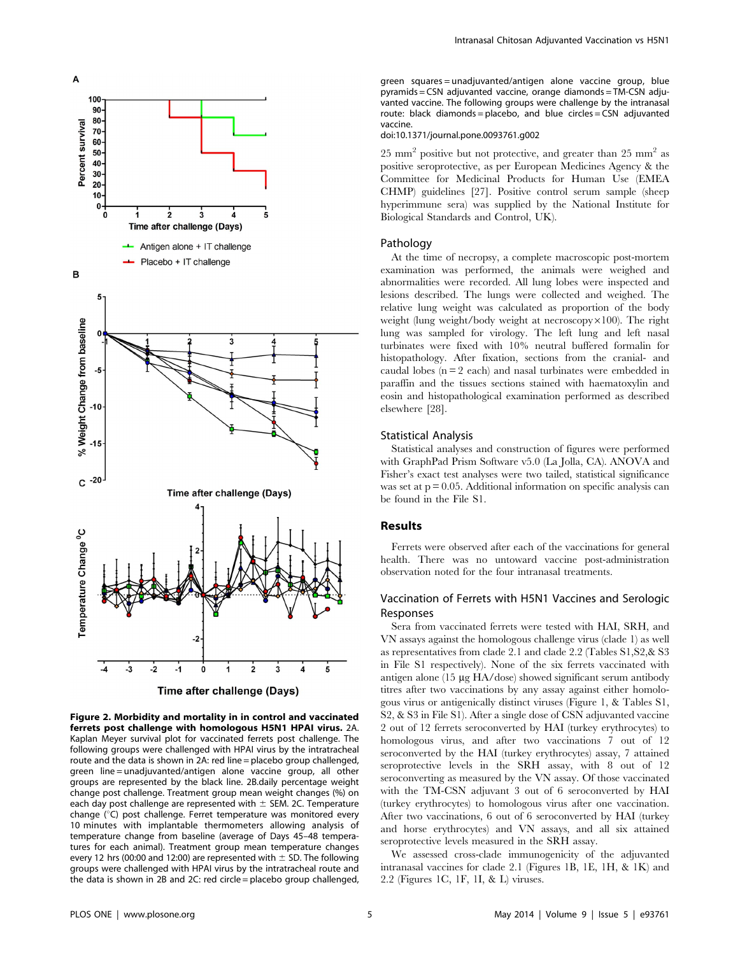

Figure 2. Morbidity and mortality in in control and vaccinated ferrets post challenge with homologous H5N1 HPAI virus. 2A. Kaplan Meyer survival plot for vaccinated ferrets post challenge. The following groups were challenged with HPAI virus by the intratracheal route and the data is shown in 2A: red line = placebo group challenged, green line = unadjuvanted/antigen alone vaccine group, all other groups are represented by the black line. 2B.daily percentage weight change post challenge. Treatment group mean weight changes (%) on each day post challenge are represented with  $\pm$  SEM. 2C. Temperature change (°C) post challenge. Ferret temperature was monitored every 10 minutes with implantable thermometers allowing analysis of temperature change from baseline (average of Days 45–48 temperatures for each animal). Treatment group mean temperature changes every 12 hrs (00:00 and 12:00) are represented with  $\pm$  SD. The following groups were challenged with HPAI virus by the intratracheal route and the data is shown in 2B and 2C: red circle = placebo group challenged,

green squares = unadjuvanted/antigen alone vaccine group, blue pyramids = CSN adjuvanted vaccine, orange diamonds = TM-CSN adjuvanted vaccine. The following groups were challenge by the intranasal route: black diamonds = placebo, and blue circles = CSN adjuvanted vaccine.

doi:10.1371/journal.pone.0093761.g002

 $25 \text{ mm}^2$  positive but not protective, and greater than  $25 \text{ mm}^2$  as positive seroprotective, as per European Medicines Agency & the Committee for Medicinal Products for Human Use (EMEA CHMP) guidelines [27]. Positive control serum sample (sheep hyperimmune sera) was supplied by the National Institute for Biological Standards and Control, UK).

#### Pathology

At the time of necropsy, a complete macroscopic post-mortem examination was performed, the animals were weighed and abnormalities were recorded. All lung lobes were inspected and lesions described. The lungs were collected and weighed. The relative lung weight was calculated as proportion of the body weight (lung weight/body weight at necroscopy $\times100$ ). The right lung was sampled for virology. The left lung and left nasal turbinates were fixed with 10% neutral buffered formalin for histopathology. After fixation, sections from the cranial- and caudal lobes  $(n = 2 \text{ each})$  and nasal turbinates were embedded in paraffin and the tissues sections stained with haematoxylin and eosin and histopathological examination performed as described elsewhere [28].

#### Statistical Analysis

Statistical analyses and construction of figures were performed with GraphPad Prism Software v5.0 (La Jolla, CA). ANOVA and Fisher's exact test analyses were two tailed, statistical significance was set at  $p = 0.05$ . Additional information on specific analysis can be found in the File S1.

# **Results**

Ferrets were observed after each of the vaccinations for general health. There was no untoward vaccine post-administration observation noted for the four intranasal treatments.

# Vaccination of Ferrets with H5N1 Vaccines and Serologic Responses

Sera from vaccinated ferrets were tested with HAI, SRH, and VN assays against the homologous challenge virus (clade 1) as well as representatives from clade 2.1 and clade 2.2 (Tables S1,S2,& S3 in File S1 respectively). None of the six ferrets vaccinated with antigen alone (15 µg HA/dose) showed significant serum antibody titres after two vaccinations by any assay against either homologous virus or antigenically distinct viruses (Figure 1, & Tables S1, S2, & S3 in File S1). After a single dose of CSN adjuvanted vaccine 2 out of 12 ferrets seroconverted by HAI (turkey erythrocytes) to homologous virus, and after two vaccinations 7 out of 12 seroconverted by the HAI (turkey erythrocytes) assay, 7 attained seroprotective levels in the SRH assay, with 8 out of 12 seroconverting as measured by the VN assay. Of those vaccinated with the TM-CSN adjuvant 3 out of 6 seroconverted by HAI (turkey erythrocytes) to homologous virus after one vaccination. After two vaccinations, 6 out of 6 seroconverted by HAI (turkey and horse erythrocytes) and VN assays, and all six attained seroprotective levels measured in the SRH assay.

We assessed cross-clade immunogenicity of the adjuvanted intranasal vaccines for clade 2.1 (Figures 1B, 1E, 1H, & 1K) and 2.2 (Figures 1C, 1F, 1I, & L) viruses.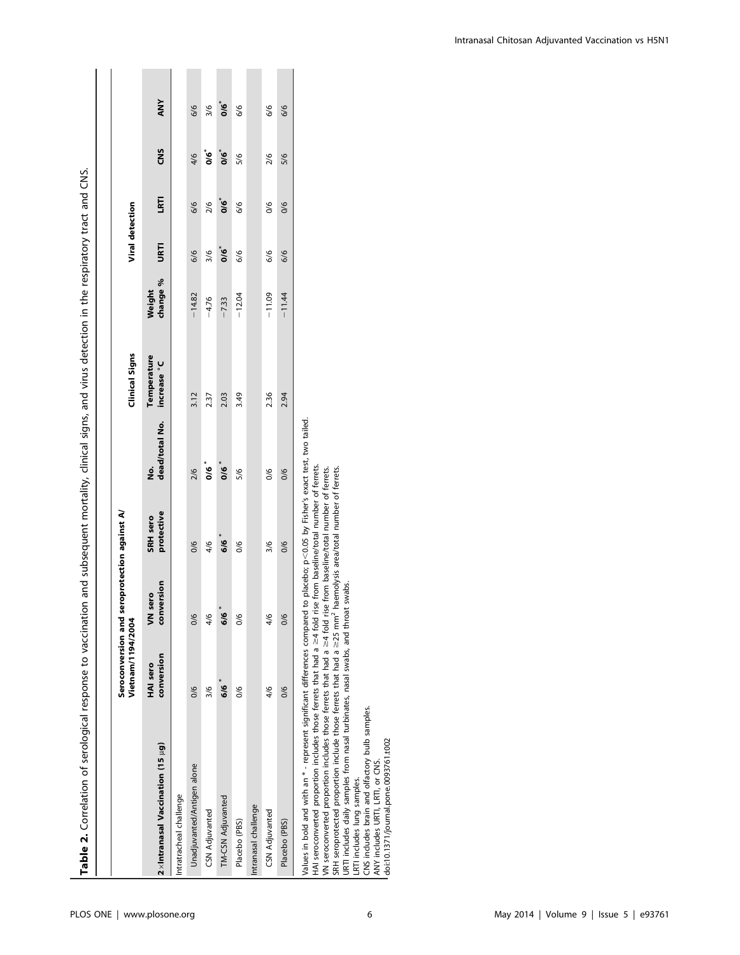|                                                                                                                                                                                                                                                                                                                                                                                                                                                                             | Vietnam/1194/2004      | Seroconversion and seroprotection against A/ |                                         |                     | <b>Clinical Signs</b>      |                    | Viral detection |               |               |           |
|-----------------------------------------------------------------------------------------------------------------------------------------------------------------------------------------------------------------------------------------------------------------------------------------------------------------------------------------------------------------------------------------------------------------------------------------------------------------------------|------------------------|----------------------------------------------|-----------------------------------------|---------------------|----------------------------|--------------------|-----------------|---------------|---------------|-----------|
| 2xIntranasal Vaccination (15 µg)                                                                                                                                                                                                                                                                                                                                                                                                                                            | conversion<br>HAI sero | conversion<br>VN sero                        | protective<br>SRH sero                  | dead/total No.<br>ġ | Temperature<br>increase °C | change %<br>Weight | URTI            | LRTI          | CNS           | ANY       |
| Intratracheal challenge                                                                                                                                                                                                                                                                                                                                                                                                                                                     |                        |                                              |                                         |                     |                            |                    |                 |               |               |           |
| Unadjuvanted/Antigen alone                                                                                                                                                                                                                                                                                                                                                                                                                                                  | $\frac{6}{2}$          | $\frac{6}{2}$                                | 0/6                                     | 2/6                 | 3.12                       | $-14.82$           | 6/6             | 6/6           | 4/6           | 6/6       |
| <b>CSN Adjuvanted</b>                                                                                                                                                                                                                                                                                                                                                                                                                                                       | $\frac{3}{6}$          | 4/6                                          | 4/6                                     | $\frac{1}{2}$       | 2.37                       | $-4.76$            | 3/6             | $\frac{2}{6}$ | ە*<br>0/6     | 3/6       |
| TM-CSN Adjuvanted                                                                                                                                                                                                                                                                                                                                                                                                                                                           | 6/6                    | 6/6                                          | 6/6 *                                   | $\frac{1}{2}$       | 2.03                       | $-7.33$            | $\mathbf{S}^*$  | ى*<br>0/6     | ڻ*<br>0/6     | ى*<br>0/6 |
| Placebo (PBS)                                                                                                                                                                                                                                                                                                                                                                                                                                                               | $\frac{8}{2}$          | $\frac{8}{2}$                                | 0/6                                     | 5/6                 | 3.49                       | $-12.04$           | 6/6             | 6/6           | 5/6           | 6/6       |
| Intranasal challenge                                                                                                                                                                                                                                                                                                                                                                                                                                                        |                        |                                              |                                         |                     |                            |                    |                 |               |               |           |
| CSN Adjuvanted                                                                                                                                                                                                                                                                                                                                                                                                                                                              | 4/6                    | 4/6                                          | 3/6                                     | $\frac{6}{2}$       | 2.36                       | $-11.09$           | 6/6             | $\frac{6}{2}$ | $\frac{2}{6}$ | 6/6       |
| Placebo (PBS)                                                                                                                                                                                                                                                                                                                                                                                                                                                               | $\frac{8}{2}$          | 0/6                                          | 0/6                                     | $\frac{6}{10}$      | 2.94                       | $-11.44$           | 6/6             | 0/6           | 5/6           | 6/6       |
| Values in bold and with an * - represent significant differences compared to placebo; p<0.05 by Fisher's exact test, two tailed<br>HAI seroconverted proportion includes those ferrets that had a $\geq$ 4 fold rise from baseline/total number of ferrets.<br>VN seroconverted proportion includes those ferrets that had a $\geq$ 4 fold rise from baseline/total number of ferrets.<br>SRH seroprotected proportion include those ferrets that had a ≥25 mm <sup>2</sup> |                        |                                              | haemolysis area/total number of ferrets |                     |                            |                    |                 |               |               |           |

SRH seroprotected proportion include those ferrets that had a ≥25 mm<sup>2</sup> haemolysis i<br>URTI includes daily samples from nasal turbinates, nasal swabs, and throat swabs.<br>CNSI includes lung samples.<br>ANY includes URTI, LRTI, or URTI includes daily samples from nasal turbinates, nasal swabs, and throat swabs. CNS includes brain and olfactory bulb samples. LRTI includes lung samples.

ANY includes URTI, LRTI, or CNS.

doi:10.1371/journal.pone.0093761.t002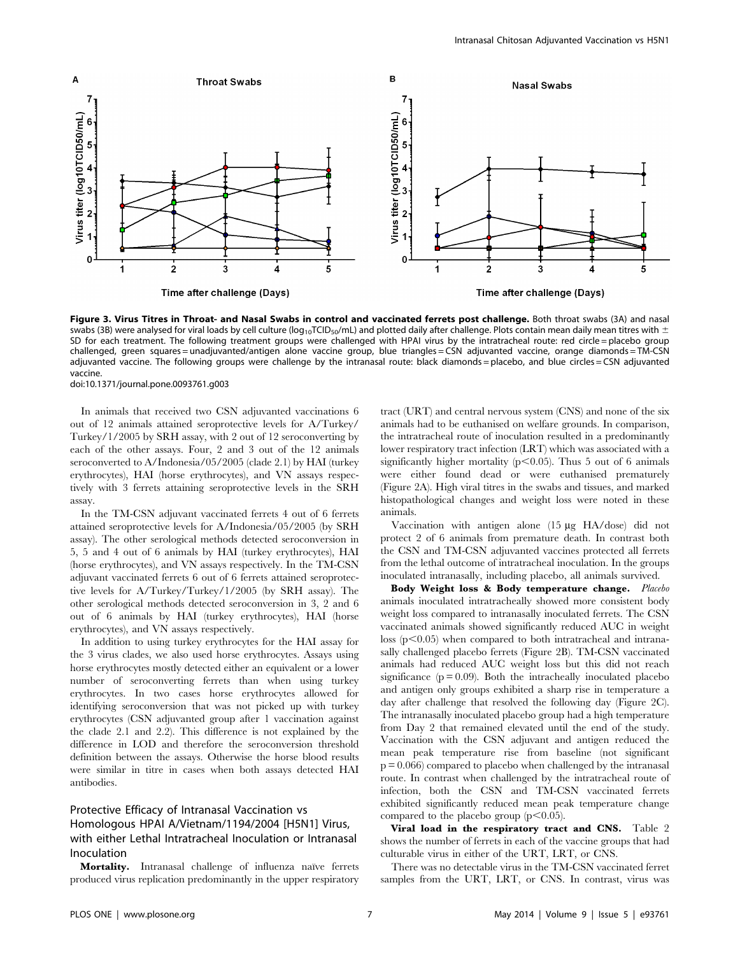

Figure 3. Virus Titres in Throat- and Nasal Swabs in control and vaccinated ferrets post challenge. Both throat swabs (3A) and nasal swabs (3B) were analysed for viral loads by cell culture (log<sub>10</sub>TCID<sub>50</sub>/mL) and plotted daily after challenge. Plots contain mean daily mean titres with  $\pm$ SD for each treatment. The following treatment groups were challenged with HPAI virus by the intratracheal route: red circle = placebo group challenged, green squares = unadjuvanted/antigen alone vaccine group, blue triangles = CSN adjuvanted vaccine, orange diamonds = TM-CSN adjuvanted vaccine. The following groups were challenge by the intranasal route: black diamonds = placebo, and blue circles = CSN adjuvanted vaccine.

doi:10.1371/journal.pone.0093761.g003

In animals that received two CSN adjuvanted vaccinations 6 out of 12 animals attained seroprotective levels for A/Turkey/ Turkey/1/2005 by SRH assay, with 2 out of 12 seroconverting by each of the other assays. Four, 2 and 3 out of the 12 animals seroconverted to A/Indonesia/05/2005 (clade 2.1) by HAI (turkey erythrocytes), HAI (horse erythrocytes), and VN assays respectively with 3 ferrets attaining seroprotective levels in the SRH assay.

In the TM-CSN adjuvant vaccinated ferrets 4 out of 6 ferrets attained seroprotective levels for A/Indonesia/05/2005 (by SRH assay). The other serological methods detected seroconversion in 5, 5 and 4 out of 6 animals by HAI (turkey erythrocytes), HAI (horse erythrocytes), and VN assays respectively. In the TM-CSN adjuvant vaccinated ferrets 6 out of 6 ferrets attained seroprotective levels for A/Turkey/Turkey/1/2005 (by SRH assay). The other serological methods detected seroconversion in 3, 2 and 6 out of 6 animals by HAI (turkey erythrocytes), HAI (horse erythrocytes), and VN assays respectively.

In addition to using turkey erythrocytes for the HAI assay for the 3 virus clades, we also used horse erythrocytes. Assays using horse erythrocytes mostly detected either an equivalent or a lower number of seroconverting ferrets than when using turkey erythrocytes. In two cases horse erythrocytes allowed for identifying seroconversion that was not picked up with turkey erythrocytes (CSN adjuvanted group after 1 vaccination against the clade 2.1 and 2.2). This difference is not explained by the difference in LOD and therefore the seroconversion threshold definition between the assays. Otherwise the horse blood results were similar in titre in cases when both assays detected HAI antibodies.

# Protective Efficacy of Intranasal Vaccination vs Homologous HPAI A/Vietnam/1194/2004 [H5N1] Virus, with either Lethal Intratracheal Inoculation or Intranasal Inoculation

Mortality. Intranasal challenge of influenza naïve ferrets produced virus replication predominantly in the upper respiratory

tract (URT) and central nervous system (CNS) and none of the six animals had to be euthanised on welfare grounds. In comparison, the intratracheal route of inoculation resulted in a predominantly lower respiratory tract infection (LRT) which was associated with a significantly higher mortality ( $p<0.05$ ). Thus 5 out of 6 animals were either found dead or were euthanised prematurely (Figure 2A). High viral titres in the swabs and tissues, and marked histopathological changes and weight loss were noted in these animals.

Vaccination with antigen alone (15 µg HA/dose) did not protect 2 of 6 animals from premature death. In contrast both the CSN and TM-CSN adjuvanted vaccines protected all ferrets from the lethal outcome of intratracheal inoculation. In the groups inoculated intranasally, including placebo, all animals survived.

Body Weight loss & Body temperature change. Placebo animals inoculated intratracheally showed more consistent body weight loss compared to intranasally inoculated ferrets. The CSN vaccinated animals showed significantly reduced AUC in weight loss  $(p<0.05)$  when compared to both intratracheal and intranasally challenged placebo ferrets (Figure 2B). TM-CSN vaccinated animals had reduced AUC weight loss but this did not reach significance  $(p = 0.09)$ . Both the intracheally inoculated placebo and antigen only groups exhibited a sharp rise in temperature a day after challenge that resolved the following day (Figure 2C). The intranasally inoculated placebo group had a high temperature from Day 2 that remained elevated until the end of the study. Vaccination with the CSN adjuvant and antigen reduced the mean peak temperature rise from baseline (not significant  $p = 0.066$ ) compared to placebo when challenged by the intranasal route. In contrast when challenged by the intratracheal route of infection, both the CSN and TM-CSN vaccinated ferrets exhibited significantly reduced mean peak temperature change compared to the placebo group  $(p<0.05)$ .

Viral load in the respiratory tract and CNS. Table 2 shows the number of ferrets in each of the vaccine groups that had culturable virus in either of the URT, LRT, or CNS.

There was no detectable virus in the TM-CSN vaccinated ferret samples from the URT, LRT, or CNS. In contrast, virus was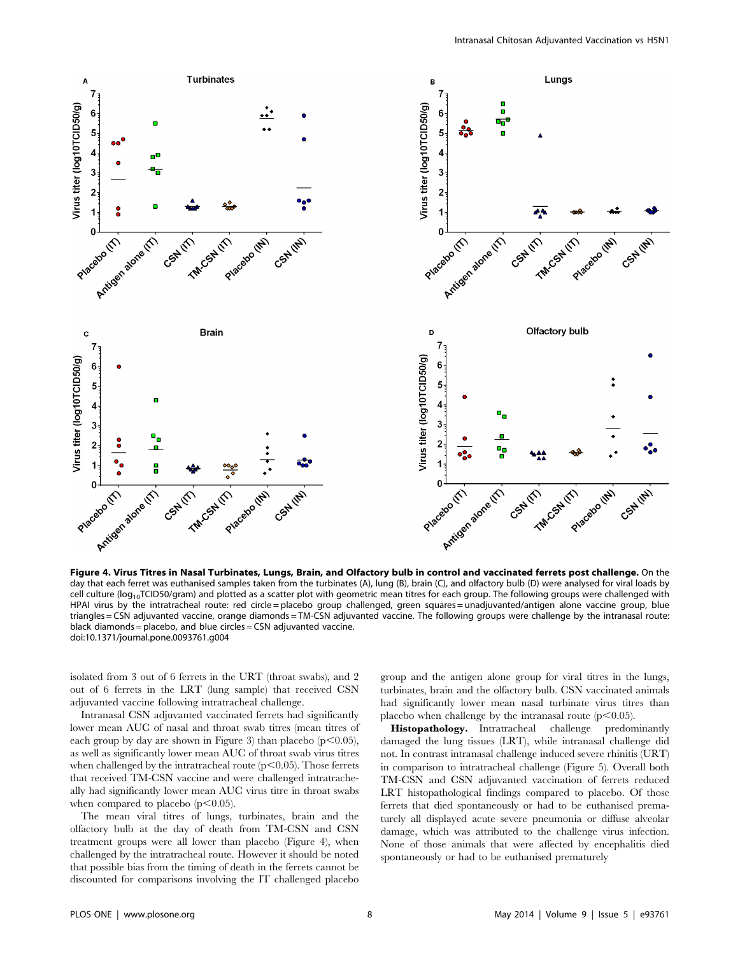

Figure 4. Virus Titres in Nasal Turbinates, Lungs, Brain, and Olfactory bulb in control and vaccinated ferrets post challenge. On the day that each ferret was euthanised samples taken from the turbinates (A), lung (B), brain (C), and olfactory bulb (D) were analysed for viral loads by cell culture (log<sub>10</sub>TCID50/gram) and plotted as a scatter plot with geometric mean titres for each group. The following groups were challenged with HPAI virus by the intratracheal route: red circle = placebo group challenged, green squares = unadjuvanted/antigen alone vaccine group, blue triangles = CSN adjuvanted vaccine, orange diamonds = TM-CSN adjuvanted vaccine. The following groups were challenge by the intranasal route: black diamonds = placebo, and blue circles = CSN adjuvanted vaccine. doi:10.1371/journal.pone.0093761.g004

isolated from 3 out of 6 ferrets in the URT (throat swabs), and 2 out of 6 ferrets in the LRT (lung sample) that received CSN adjuvanted vaccine following intratracheal challenge.

Intranasal CSN adjuvanted vaccinated ferrets had significantly lower mean AUC of nasal and throat swab titres (mean titres of each group by day are shown in Figure 3) than placebo  $(p<0.05)$ , as well as significantly lower mean AUC of throat swab virus titres when challenged by the intratracheal route  $(p<0.05)$ . Those ferrets that received TM-CSN vaccine and were challenged intratracheally had significantly lower mean AUC virus titre in throat swabs when compared to placebo  $(p<0.05)$ .

The mean viral titres of lungs, turbinates, brain and the olfactory bulb at the day of death from TM-CSN and CSN treatment groups were all lower than placebo (Figure 4), when challenged by the intratracheal route. However it should be noted that possible bias from the timing of death in the ferrets cannot be discounted for comparisons involving the IT challenged placebo group and the antigen alone group for viral titres in the lungs, turbinates, brain and the olfactory bulb. CSN vaccinated animals had significantly lower mean nasal turbinate virus titres than placebo when challenge by the intranasal route  $(p<0.05)$ .

Histopathology. Intratracheal challenge predominantly damaged the lung tissues (LRT), while intranasal challenge did not. In contrast intranasal challenge induced severe rhinitis (URT) in comparison to intratracheal challenge (Figure 5). Overall both TM-CSN and CSN adjuvanted vaccination of ferrets reduced LRT histopathological findings compared to placebo. Of those ferrets that died spontaneously or had to be euthanised prematurely all displayed acute severe pneumonia or diffuse alveolar damage, which was attributed to the challenge virus infection. None of those animals that were affected by encephalitis died spontaneously or had to be euthanised prematurely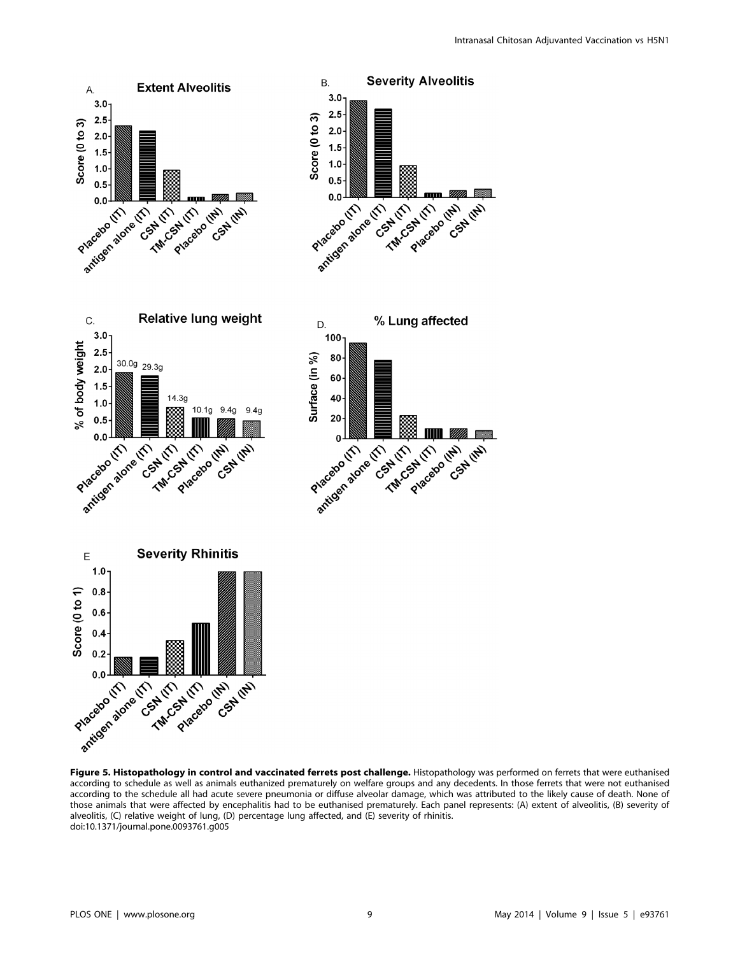

Figure 5. Histopathology in control and vaccinated ferrets post challenge. Histopathology was performed on ferrets that were euthanised according to schedule as well as animals euthanized prematurely on welfare groups and any decedents. In those ferrets that were not euthanised according to the schedule all had acute severe pneumonia or diffuse alveolar damage, which was attributed to the likely cause of death. None of those animals that were affected by encephalitis had to be euthanised prematurely. Each panel represents: (A) extent of alveolitis, (B) severity of alveolitis, (C) relative weight of lung, (D) percentage lung affected, and (E) severity of rhinitis. doi:10.1371/journal.pone.0093761.g005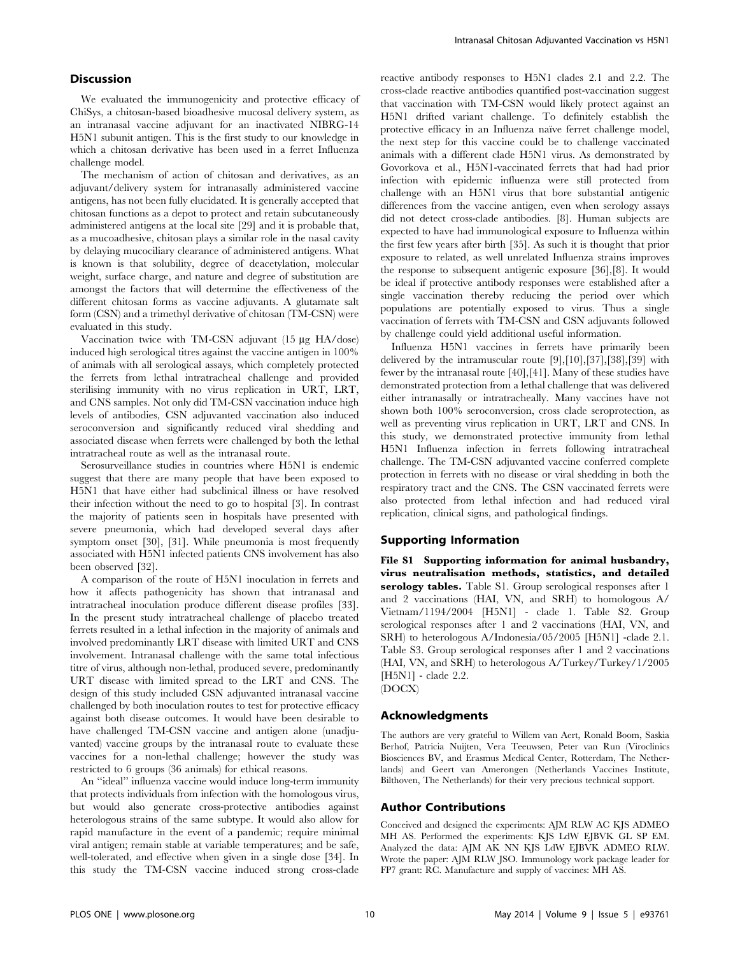## Discussion

We evaluated the immunogenicity and protective efficacy of ChiSys, a chitosan-based bioadhesive mucosal delivery system, as an intranasal vaccine adjuvant for an inactivated NIBRG-14 H5N1 subunit antigen. This is the first study to our knowledge in which a chitosan derivative has been used in a ferret Influenza challenge model.

The mechanism of action of chitosan and derivatives, as an adjuvant/delivery system for intranasally administered vaccine antigens, has not been fully elucidated. It is generally accepted that chitosan functions as a depot to protect and retain subcutaneously administered antigens at the local site [29] and it is probable that, as a mucoadhesive, chitosan plays a similar role in the nasal cavity by delaying mucociliary clearance of administered antigens. What is known is that solubility, degree of deacetylation, molecular weight, surface charge, and nature and degree of substitution are amongst the factors that will determine the effectiveness of the different chitosan forms as vaccine adjuvants. A glutamate salt form (CSN) and a trimethyl derivative of chitosan (TM-CSN) were evaluated in this study.

Vaccination twice with  $TM-CSN$  adjuvant (15  $\mu$ g HA/dose) induced high serological titres against the vaccine antigen in 100% of animals with all serological assays, which completely protected the ferrets from lethal intratracheal challenge and provided sterilising immunity with no virus replication in URT, LRT, and CNS samples. Not only did TM-CSN vaccination induce high levels of antibodies, CSN adjuvanted vaccination also induced seroconversion and significantly reduced viral shedding and associated disease when ferrets were challenged by both the lethal intratracheal route as well as the intranasal route.

Serosurveillance studies in countries where H5N1 is endemic suggest that there are many people that have been exposed to H5N1 that have either had subclinical illness or have resolved their infection without the need to go to hospital [3]. In contrast the majority of patients seen in hospitals have presented with severe pneumonia, which had developed several days after symptom onset [30], [31]. While pneumonia is most frequently associated with H5N1 infected patients CNS involvement has also been observed [32].

A comparison of the route of H5N1 inoculation in ferrets and how it affects pathogenicity has shown that intranasal and intratracheal inoculation produce different disease profiles [33]. In the present study intratracheal challenge of placebo treated ferrets resulted in a lethal infection in the majority of animals and involved predominantly LRT disease with limited URT and CNS involvement. Intranasal challenge with the same total infectious titre of virus, although non-lethal, produced severe, predominantly URT disease with limited spread to the LRT and CNS. The design of this study included CSN adjuvanted intranasal vaccine challenged by both inoculation routes to test for protective efficacy against both disease outcomes. It would have been desirable to have challenged TM-CSN vaccine and antigen alone (unadjuvanted) vaccine groups by the intranasal route to evaluate these vaccines for a non-lethal challenge; however the study was restricted to 6 groups (36 animals) for ethical reasons.

An ''ideal'' influenza vaccine would induce long-term immunity that protects individuals from infection with the homologous virus, but would also generate cross-protective antibodies against heterologous strains of the same subtype. It would also allow for rapid manufacture in the event of a pandemic; require minimal viral antigen; remain stable at variable temperatures; and be safe, well-tolerated, and effective when given in a single dose [34]. In this study the TM-CSN vaccine induced strong cross-clade reactive antibody responses to H5N1 clades 2.1 and 2.2. The cross-clade reactive antibodies quantified post-vaccination suggest that vaccination with TM-CSN would likely protect against an H5N1 drifted variant challenge. To definitely establish the protective efficacy in an Influenza naïve ferret challenge model, the next step for this vaccine could be to challenge vaccinated animals with a different clade H5N1 virus. As demonstrated by Govorkova et al., H5N1-vaccinated ferrets that had had prior infection with epidemic influenza were still protected from challenge with an H5N1 virus that bore substantial antigenic differences from the vaccine antigen, even when serology assays did not detect cross-clade antibodies. [8]. Human subjects are expected to have had immunological exposure to Influenza within the first few years after birth [35]. As such it is thought that prior exposure to related, as well unrelated Influenza strains improves the response to subsequent antigenic exposure [36],[8]. It would be ideal if protective antibody responses were established after a single vaccination thereby reducing the period over which populations are potentially exposed to virus. Thus a single vaccination of ferrets with TM-CSN and CSN adjuvants followed by challenge could yield additional useful information.

Influenza H5N1 vaccines in ferrets have primarily been delivered by the intramuscular route [9],[10],[37],[38],[39] with fewer by the intranasal route [40],[41]. Many of these studies have demonstrated protection from a lethal challenge that was delivered either intranasally or intratracheally. Many vaccines have not shown both 100% seroconversion, cross clade seroprotection, as well as preventing virus replication in URT, LRT and CNS. In this study, we demonstrated protective immunity from lethal H5N1 Influenza infection in ferrets following intratracheal challenge. The TM-CSN adjuvanted vaccine conferred complete protection in ferrets with no disease or viral shedding in both the respiratory tract and the CNS. The CSN vaccinated ferrets were also protected from lethal infection and had reduced viral replication, clinical signs, and pathological findings.

## Supporting Information

File S1 Supporting information for animal husbandry, virus neutralisation methods, statistics, and detailed serology tables. Table S1. Group serological responses after 1 and 2 vaccinations (HAI, VN, and SRH) to homologous A/ Vietnam/1194/2004 [H5N1] - clade 1. Table S2. Group serological responses after 1 and 2 vaccinations (HAI, VN, and SRH) to heterologous A/Indonesia/05/2005 [H5N1] -clade 2.1. Table S3. Group serological responses after 1 and 2 vaccinations (HAI, VN, and SRH) to heterologous A/Turkey/Turkey/1/2005 [H5N1] - clade 2.2.

# (DOCX)

# Acknowledgments

The authors are very grateful to Willem van Aert, Ronald Boom, Saskia Berhof, Patricia Nuijten, Vera Teeuwsen, Peter van Run (Viroclinics Biosciences BV, and Erasmus Medical Center, Rotterdam, The Netherlands) and Geert van Amerongen (Netherlands Vaccines Institute, Bilthoven, The Netherlands) for their very precious technical support.

#### Author Contributions

Conceived and designed the experiments: AJM RLW AC KJS ADMEO MH AS. Performed the experiments: KJS LdW EJBVK GL SP EM. Analyzed the data: AJM AK NN KJS LdW EJBVK ADMEO RLW. Wrote the paper: AJM RLW JSO. Immunology work package leader for FP7 grant: RC. Manufacture and supply of vaccines: MH AS.